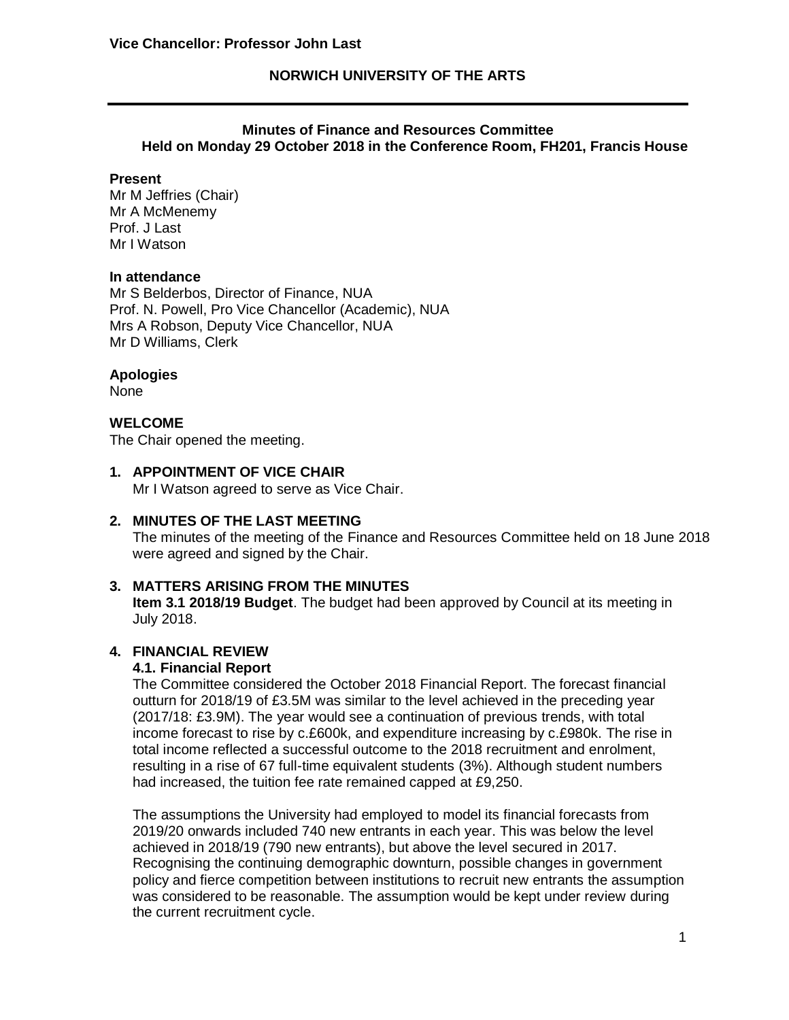## **NORWICH UNIVERSITY OF THE ARTS**

## **Minutes of Finance and Resources Committee Held on Monday 29 October 2018 in the Conference Room, FH201, Francis House**

### **Present**

Mr M Jeffries (Chair) Mr A McMenemy Prof. J Last Mr I Watson

### **In attendance**

Mr S Belderbos, Director of Finance, NUA Prof. N. Powell, Pro Vice Chancellor (Academic), NUA Mrs A Robson, Deputy Vice Chancellor, NUA Mr D Williams, Clerk

### **Apologies**

None

# **WELCOME**

The Chair opened the meeting.

## **1. APPOINTMENT OF VICE CHAIR**

Mr I Watson agreed to serve as Vice Chair.

### **2. MINUTES OF THE LAST MEETING**

The minutes of the meeting of the Finance and Resources Committee held on 18 June 2018 were agreed and signed by the Chair.

### **3. MATTERS ARISING FROM THE MINUTES**

**Item 3.1 2018/19 Budget**. The budget had been approved by Council at its meeting in July 2018.

# **4. FINANCIAL REVIEW**

# **4.1. Financial Report**

The Committee considered the October 2018 Financial Report. The forecast financial outturn for 2018/19 of £3.5M was similar to the level achieved in the preceding year (2017/18: £3.9M). The year would see a continuation of previous trends, with total income forecast to rise by c.£600k, and expenditure increasing by c.£980k. The rise in total income reflected a successful outcome to the 2018 recruitment and enrolment, resulting in a rise of 67 full-time equivalent students (3%). Although student numbers had increased, the tuition fee rate remained capped at £9,250.

The assumptions the University had employed to model its financial forecasts from 2019/20 onwards included 740 new entrants in each year. This was below the level achieved in 2018/19 (790 new entrants), but above the level secured in 2017. Recognising the continuing demographic downturn, possible changes in government policy and fierce competition between institutions to recruit new entrants the assumption was considered to be reasonable. The assumption would be kept under review during the current recruitment cycle.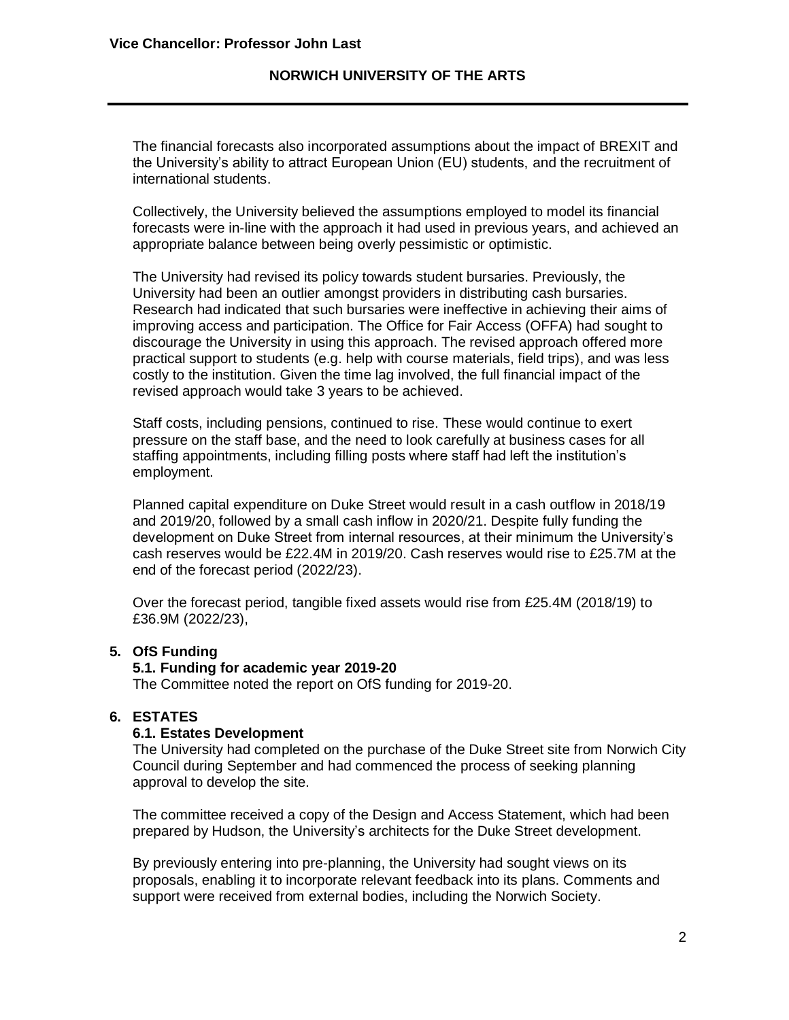## **NORWICH UNIVERSITY OF THE ARTS**

The financial forecasts also incorporated assumptions about the impact of BREXIT and the University's ability to attract European Union (EU) students, and the recruitment of international students.

Collectively, the University believed the assumptions employed to model its financial forecasts were in-line with the approach it had used in previous years, and achieved an appropriate balance between being overly pessimistic or optimistic.

The University had revised its policy towards student bursaries. Previously, the University had been an outlier amongst providers in distributing cash bursaries. Research had indicated that such bursaries were ineffective in achieving their aims of improving access and participation. The Office for Fair Access (OFFA) had sought to discourage the University in using this approach. The revised approach offered more practical support to students (e.g. help with course materials, field trips), and was less costly to the institution. Given the time lag involved, the full financial impact of the revised approach would take 3 years to be achieved.

Staff costs, including pensions, continued to rise. These would continue to exert pressure on the staff base, and the need to look carefully at business cases for all staffing appointments, including filling posts where staff had left the institution's employment.

Planned capital expenditure on Duke Street would result in a cash outflow in 2018/19 and 2019/20, followed by a small cash inflow in 2020/21. Despite fully funding the development on Duke Street from internal resources, at their minimum the University's cash reserves would be £22.4M in 2019/20. Cash reserves would rise to £25.7M at the end of the forecast period (2022/23).

Over the forecast period, tangible fixed assets would rise from £25.4M (2018/19) to £36.9M (2022/23),

## **5. OfS Funding**

### **5.1. Funding for academic year 2019-20**

The Committee noted the report on OfS funding for 2019-20.

## **6. ESTATES**

#### **6.1. Estates Development**

The University had completed on the purchase of the Duke Street site from Norwich City Council during September and had commenced the process of seeking planning approval to develop the site.

The committee received a copy of the Design and Access Statement, which had been prepared by Hudson, the University's architects for the Duke Street development.

By previously entering into pre-planning, the University had sought views on its proposals, enabling it to incorporate relevant feedback into its plans. Comments and support were received from external bodies, including the Norwich Society.